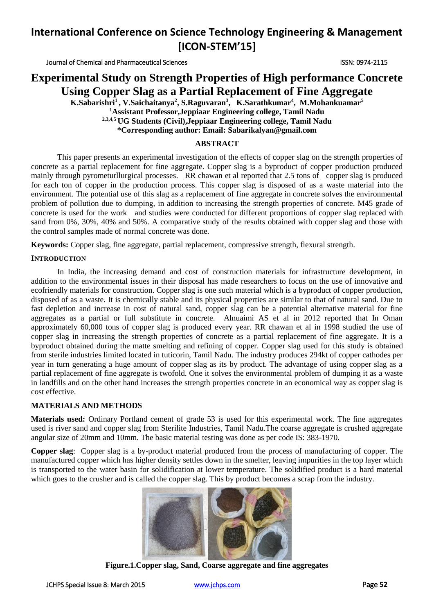Journal of Chemical and Pharmaceutical Sciences ISSN: 0974-2115

### **Experimental Study on Strength Properties of High performance Concrete Using Copper Slag as a Partial Replacement of Fine Aggregate**

**K.Sabarishri<sup>1</sup> , V.Saichaitanya<sup>2</sup> , S.Raguvaran<sup>3</sup> , K.Sarathkumar<sup>4</sup> , M.Mohankuamar<sup>5</sup> <sup>1</sup>Assistant Professor,Jeppiaar Engineering college, Tamil Nadu 2,3,4,5 UG Students (Civil),Jeppiaar Engineering college, Tamil Nadu \*Corresponding author: Email: [Sabarikalyan@gmail.com](mailto:Sabarikalyan@gmail.com)**

#### **ABSTRACT**

This paper presents an experimental investigation of the effects of copper slag on the strength properties of concrete as a partial replacement for fine aggregate. Copper slag is a byproduct of copper production produced mainly through pyrometurllurgical processes. RR chawan et al reported that 2.5 tons of copper slag is produced for each ton of copper in the production process. This copper slag is disposed of as a waste material into the environment. The potential use of this slag as a replacement of fine aggregate in concrete solves the environmental problem of pollution due to dumping, in addition to increasing the strength properties of concrete. M45 grade of concrete is used for the work and studies were conducted for different proportions of copper slag replaced with sand from 0%, 30%, 40% and 50%. A comparative study of the results obtained with copper slag and those with the control samples made of normal concrete was done.

**Keywords:** Copper slag, fine aggregate, partial replacement, compressive strength, flexural strength.

#### **INTRODUCTION**

In India, the increasing demand and cost of construction materials for infrastructure development, in addition to the environmental issues in their disposal has made researchers to focus on the use of innovative and ecofriendly materials for construction. Copper slag is one such material which is a byproduct of copper production, disposed of as a waste. It is chemically stable and its physical properties are similar to that of natural sand. Due to fast depletion and increase in cost of natural sand, copper slag can be a potential alternative material for fine aggregates as a partial or full substitute in concrete. Alnuaimi AS et al in 2012 reported that In Oman approximately 60,000 tons of copper slag is produced every year. RR chawan et al in 1998 studied the use of copper slag in increasing the strength properties of concrete as a partial replacement of fine aggregate. It is a byproduct obtained during the matte smelting and refining of copper. Copper slag used for this study is obtained from sterile industries limited located in tuticorin, Tamil Nadu. The industry produces 294kt of copper cathodes per year in turn generating a huge amount of copper slag as its by product. The advantage of using copper slag as a partial replacement of fine aggregate is twofold. One it solves the environmental problem of dumping it as a waste in landfills and on the other hand increases the strength properties concrete in an economical way as copper slag is cost effective.

#### **MATERIALS AND METHODS**

**Materials used:** Ordinary Portland cement of grade 53 is used for this experimental work. The fine aggregates used is river sand and copper slag from Sterilite Industries, Tamil Nadu.The coarse aggregate is crushed aggregate angular size of 20mm and 10mm. The basic material testing was done as per code IS: 383-1970.

**Copper slag**: Copper slag is a by-product material produced from the process of manufacturing of copper. The manufactured copper which has higher density settles down in the smelter, leaving impurities in the top layer which is transported to the water basin for solidification at lower temperature. The solidified product is a hard material which goes to the crusher and is called the copper slag. This by product becomes a scrap from the industry.



**Figure.1.Copper slag, Sand, Coarse aggregate and fine aggregates**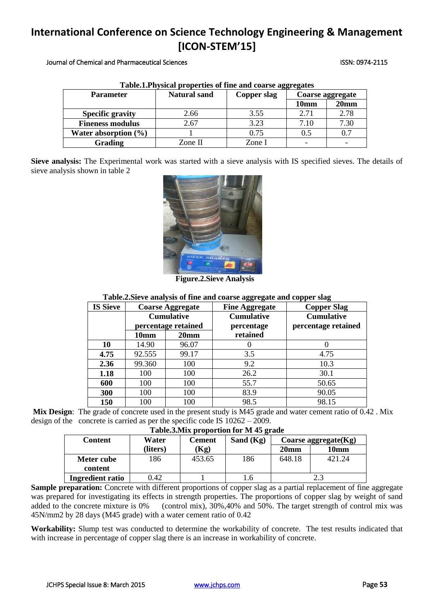Journal of Chemical and Pharmaceutical Sciences ISSN: 0974-2115

| <b>Table.I. Physical properties of the and coarse aggregates</b> |                     |             |                  |                  |  |  |
|------------------------------------------------------------------|---------------------|-------------|------------------|------------------|--|--|
| <b>Parameter</b>                                                 | <b>Natural sand</b> | Copper slag | Coarse aggregate |                  |  |  |
|                                                                  |                     |             | 10mm             | 20 <sub>mm</sub> |  |  |
| <b>Specific gravity</b>                                          | 2.66                | 3.55        | 2.71             | 2.78             |  |  |
| <b>Fineness modulus</b>                                          | 2.67                | 3.23        | 7.10             | 7.30             |  |  |
| Water absorption $(\% )$                                         |                     | 0.75        | 0.5              | 0.7              |  |  |
| Grading                                                          | Zone II             | Zone I      |                  |                  |  |  |

| Table.1. Physical properties of fine and coarse aggregates |  |  |  |  |  |
|------------------------------------------------------------|--|--|--|--|--|
|                                                            |  |  |  |  |  |

**Sieve analysis:** The Experimental work was started with a sieve analysis with IS specified sieves. The details of sieve analysis shown in table 2



 **Figure.2.Sieve Analysis**

#### **Table.2.Sieve analysis of fine and coarse aggregate and copper slag**

| <b>IS Sieve</b> | <b>Coarse Aggregate</b>                  |                  | <b>Fine Aggregate</b>           | <b>Copper Slag</b> |  |
|-----------------|------------------------------------------|------------------|---------------------------------|--------------------|--|
|                 | <b>Cumulative</b><br>percentage retained |                  | <b>Cumulative</b><br>percentage |                    |  |
|                 | 10 <sub>mm</sub>                         | 20 <sub>mm</sub> | retained                        |                    |  |
| 10              | 14.90                                    | 96.07            |                                 |                    |  |
| 4.75            | 92.555                                   | 99.17            | 3.5                             | 4.75               |  |
| 2.36            | 99.360                                   | 100              | 9.2                             | 10.3               |  |
| 1.18            | 100                                      | 100              | 26.2                            | 30.1               |  |
| 600             | 100                                      | 100              | 55.7                            | 50.65              |  |
| 300             | 100                                      | 100              | 83.9                            | 90.05              |  |
| 150             | 100                                      | 100              | 98.5                            | 98.15              |  |

**Mix Design**: The grade of concrete used in the present study is M45 grade and water cement ratio of 0.42 . Mix design of the concrete is carried as per the specific code IS 10262 – 2009.

**Table.3.Mix proportion for M 45 grade**

| THURSDAY HIS DEVICE TO THE TO ELMON |          |               |             |                         |        |  |
|-------------------------------------|----------|---------------|-------------|-------------------------|--------|--|
| <b>Content</b>                      | Water    | <b>Cement</b> | Sand $(Kg)$ | Coarse aggregate $(Kg)$ |        |  |
|                                     | (liters) | Kg)           |             | 20 <sub>mm</sub>        | 10mm   |  |
| Meter cube                          | 186      | 453.65        | 186         | 648.18                  | 421.24 |  |
| content                             |          |               |             |                         |        |  |
| Ingredient ratio                    | 0.42     |               | $\cdot$ 0   |                         | 2.3    |  |

**Sample preparation:** Concrete with different proportions of copper slag as a partial replacement of fine aggregate was prepared for investigating its effects in strength properties. The proportions of copper slag by weight of sand added to the concrete mixture is 0% (control mix), 30%,40% and 50%. The target strength of control mix was 45N/mm2 by 28 days (M45 grade) with a water cement ratio of 0.42

**Workability:** Slump test was conducted to determine the workability of concrete. The test results indicated that with increase in percentage of copper slag there is an increase in workability of concrete.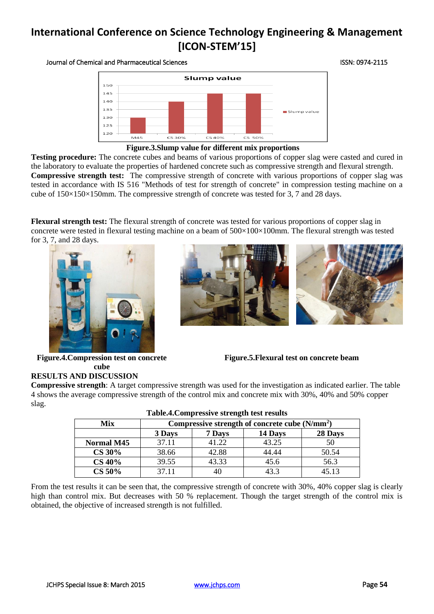#### Journal of Chemical and Pharmaceutical Sciences ISSN: 0974-2115



#### **Figure.3.Slump value for different mix proportions**

**Testing procedure:** The concrete cubes and beams of various proportions of copper slag were casted and cured in the laboratory to evaluate the properties of hardened concrete such as compressive strength and flexural strength. **Compressive strength test:** The compressive strength of concrete with various proportions of copper slag was tested in accordance with IS 516 "Methods of test for strength of concrete" in compression testing machine on a cube of 150×150×150mm. The compressive strength of concrete was tested for 3, 7 and 28 days.

**Flexural strength test:** The flexural strength of concrete was tested for various proportions of copper slag in concrete were tested in flexural testing machine on a beam of 500×100×100mm. The flexural strength was tested for 3, 7, and 28 days.





**Figure.4.Compression test on concrete cube**

**Figure.5.Flexural test on concrete beam**

#### **RESULTS AND DISCUSSION Compressive strength**: A target compressive strength was used for the investigation as indicated earlier. The table 4 shows the average compressive strength of the control mix and concrete mix with 30%, 40% and 50% copper slag.

| Table.4. Compressive strength test results |                                                 |                              |       |       |  |  |  |
|--------------------------------------------|-------------------------------------------------|------------------------------|-------|-------|--|--|--|
| Mix                                        | Compressive strength of concrete cube $(N/mm2)$ |                              |       |       |  |  |  |
|                                            | 3 Days                                          | 28 Days<br>14 Days<br>7 Days |       |       |  |  |  |
| <b>Normal M45</b>                          | 37.11                                           | 41.22                        | 43.25 | 50    |  |  |  |
| <b>CS 30%</b>                              | 38.66                                           | 42.88                        | 44.44 | 50.54 |  |  |  |
| <b>CS 40%</b>                              | 39.55                                           | 43.33                        | 45.6  | 56.3  |  |  |  |
| <b>CS 50%</b>                              | 37.11                                           | 40                           | 43.3  | 45.13 |  |  |  |

| Table.4. Compressive strength test results |  |  |
|--------------------------------------------|--|--|
|--------------------------------------------|--|--|

From the test results it can be seen that, the compressive strength of concrete with 30%, 40% copper slag is clearly high than control mix. But decreases with 50 % replacement. Though the target strength of the control mix is obtained, the objective of increased strength is not fulfilled.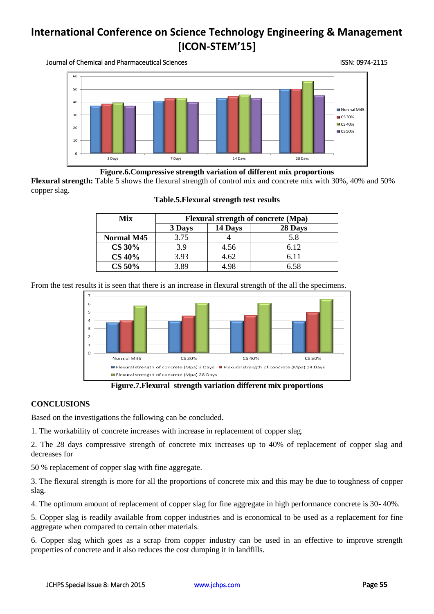Journal of Chemical and Pharmaceutical Sciences ISSN: 0974-2115



**Figure.6.Compressive strength variation of different mix proportions**

**Flexural strength:** Table 5 shows the flexural strength of control mix and concrete mix with 30%, 40% and 50% copper slag.

| Mix               | <b>Flexural strength of concrete (Mpa)</b> |         |         |  |
|-------------------|--------------------------------------------|---------|---------|--|
|                   | 3 Days                                     | 14 Days | 28 Days |  |
| <b>Normal M45</b> | 3.75                                       |         | 5.8     |  |
| <b>CS 30%</b>     | 3.9                                        | 4.56    | 6.12    |  |
| <b>CS 40%</b>     | 3.93                                       | 4.62    | 6.11    |  |
| <b>CS 50%</b>     | 3.89                                       | 1 98    | 6.58    |  |

#### **Table.5.Flexural strength test results**

From the test results it is seen that there is an increase in flexural strength of the all the specimens.



**Figure.7.Flexural strength variation different mix proportions**

### **CONCLUSIONS**

Based on the investigations the following can be concluded.

1. The workability of concrete increases with increase in replacement of copper slag.

2. The 28 days compressive strength of concrete mix increases up to 40% of replacement of copper slag and decreases for

50 % replacement of copper slag with fine aggregate.

3. The flexural strength is more for all the proportions of concrete mix and this may be due to toughness of copper slag.

4. The optimum amount of replacement of copper slag for fine aggregate in high performance concrete is 30- 40%.

5. Copper slag is readily available from copper industries and is economical to be used as a replacement for fine aggregate when compared to certain other materials.

6. Copper slag which goes as a scrap from copper industry can be used in an effective to improve strength properties of concrete and it also reduces the cost dumping it in landfills.